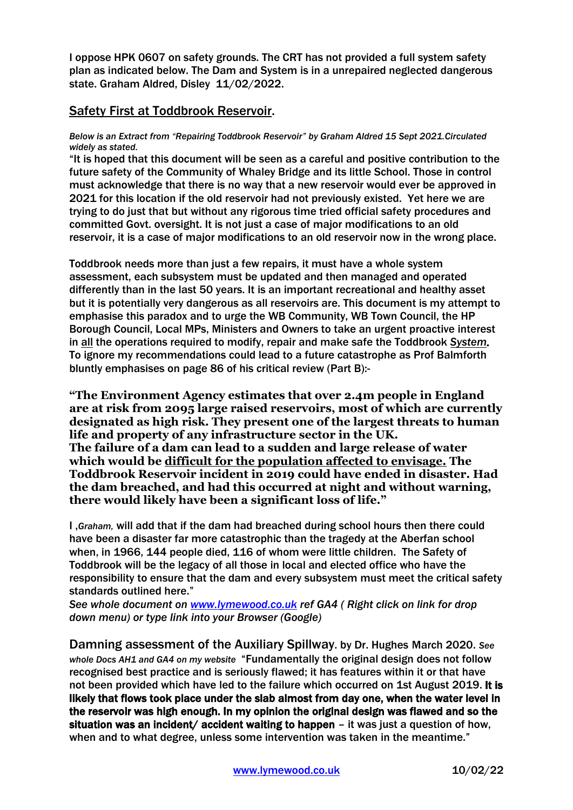I oppose HPK 0607 on safety grounds. The CRT has not provided a full system safety plan as indicated below. The Dam and System is in a unrepaired neglected dangerous state. Graham Aldred, Disley 11/02/2022.

## Safety First at Toddbrook Reservoir.

## *Below is an Extract from "Repairing Toddbrook Reservoir" by Graham Aldred 15 Sept 2021.Circulated widely as stated.*

"It is hoped that this document will be seen as a careful and positive contribution to the future safety of the Community of Whaley Bridge and its little School. Those in control must acknowledge that there is no way that a new reservoir would ever be approved in 2021 for this location if the old reservoir had not previously existed. Yet here we are trying to do just that but without any rigorous time tried official safety procedures and committed Govt. oversight. It is not just a case of major modifications to an old reservoir, it is a case of major modifications to an old reservoir now in the wrong place.

Toddbrook needs more than just a few repairs, it must have a whole system assessment, each subsystem must be updated and then managed and operated differently than in the last 50 years. It is an important recreational and healthy asset but it is potentially very dangerous as all reservoirs are. This document is my attempt to emphasise this paradox and to urge the WB Community, WB Town Council, the HP Borough Council, Local MPs, Ministers and Owners to take an urgent proactive interest in all the operations required to modify, repair and make safe the Toddbrook *System.*  To ignore my recommendations could lead to a future catastrophe as Prof Balmforth bluntly emphasises on page 86 of his critical review (Part B):-

**"The Environment Agency estimates that over 2.4m people in England are at risk from 2095 large raised reservoirs, most of which are currently designated as high risk. They present one of the largest threats to human life and property of any infrastructure sector in the UK. The failure of a dam can lead to a sudden and large release of water which would be difficult for the population affected to envisage. The Toddbrook Reservoir incident in 2019 could have ended in disaster. Had the dam breached, and had this occurred at night and without warning, there would likely have been a significant loss of life."**

I ,*Graham,* will add that if the dam had breached during school hours then there could have been a disaster far more catastrophic than the tragedy at the Aberfan school when, in 1966, 144 people died, 116 of whom were little children. The Safety of Toddbrook will be the legacy of all those in local and elected office who have the responsibility to ensure that the dam and every subsystem must meet the critical safety standards outlined here."

*See whole document on [www.lymewood.co.uk](http://www.lymewood.co.uk/) ref GA4 ( Right click on link for drop down menu) or type link into your Browser (Google)* 

Damning assessment of the Auxiliary Spillway. by Dr. Hughes March 2020. *See whole Docs AH1 and GA4 on my website* "Fundamentally the original design does not follow recognised best practice and is seriously flawed; it has features within it or that have not been provided which have led to the failure which occurred on 1st August 2019. It is likely that flows took place under the slab almost from day one, when the water level in the reservoir was high enough. In my opinion the original design was flawed and so the situation was an incident/ accident waiting to happen – it was just a question of how, when and to what degree, unless some intervention was taken in the meantime."